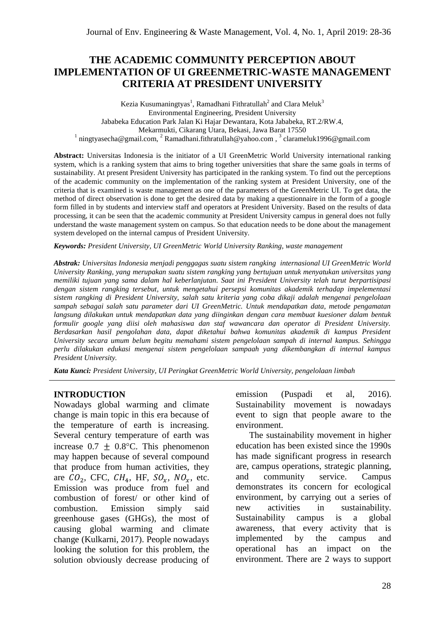# **THE ACADEMIC COMMUNITY PERCEPTION ABOUT IMPLEMENTATION OF UI GREENMETRIC-WASTE MANAGEMENT CRITERIA AT PRESIDENT UNIVERSITY**

Kezia Kusumaningtyas<sup>1</sup>, Ramadhani Fithratullah<sup>2</sup> and Clara Meluk<sup>3</sup> Environmental Engineering, President University Jababeka Education Park Jalan Ki Hajar Dewantara, Kota Jababeka, RT.2/RW.4, Mekarmukti, Cikarang Utara, Bekasi, Jawa Barat 17550 <sup>[1](about:blank)</sup> ningtyasecha@gmail.com, <sup>[2](about:blank)</sup> Ramadhani.fithratullah@yahoo.com, <sup>[3](mailto:3yz59@cornell.edu)</sup> clarameluk1996@gmail.com

**Abstract:** Universitas Indonesia is the initiator of a UI GreenMetric World University international ranking system, which is a ranking system that aims to bring together universities that share the same goals in terms of sustainability. At present President University has participated in the ranking system. To find out the perceptions of the academic community on the implementation of the ranking system at President University, one of the criteria that is examined is waste management as one of the parameters of the GreenMetric UI. To get data, the method of direct observation is done to get the desired data by making a questionnaire in the form of a google form filled in by students and interview staff and operators at President University. Based on the results of data processing, it can be seen that the academic community at President University campus in general does not fully understand the waste management system on campus. So that education needs to be done about the management system developed on the internal campus of President University.

*Keywords: President University, UI GreenMetric World University Ranking, waste management*

*Abstrak: Universitas Indonesia menjadi penggagas suatu sistem rangking internasional UI GreenMetric World University Ranking, yang merupakan suatu sistem rangking yang bertujuan untuk menyatukan universitas yang memiliki tujuan yang sama dalam hal keberlanjutan. Saat ini President University telah turut berpartisipasi dengan sistem rangking tersebut, untuk mengetahui persepsi komunitas akademik terhadap impelementasi sistem rangking di President University, salah satu kriteria yang coba dikaji adalah mengenai pengelolaan sampah sebagai salah satu parameter dari UI GreenMetric. Untuk mendapatkan data, metode pengamatan langsung dilakukan untuk mendapatkan data yang diinginkan dengan cara membuat kuesioner dalam bentuk formulir google yang diisi oleh mahasiswa dan staf wawancara dan operator di President University. Berdasarkan hasil pengolahan data, dapat diketahui bahwa komunitas akademik di kampus President University secara umum belum begitu memahami sistem pengelolaan sampah di internal kampus. Sehingga perlu dilakukan edukasi mengenai sistem pengelolaan sampaah yang dikembangkan di internal kampus President University.*

*Kata Kunci: President University, UI Peringkat GreenMetric World University, pengelolaan limbah*

#### **INTRODUCTION**

Nowadays global warming and climate change is main topic in this era because of the temperature of earth is increasing. Several century temperature of earth was increase  $0.7 \pm 0.8$ °C. This phenomenon may happen because of several compound that produce from human activities, they are  $CO_2$ , CFC,  $CH_4$ , HF,  $SO_x$ ,  $NO_x$ , etc. Emission was produce from fuel and combustion of forest/ or other kind of combustion. Emission simply said greenhouse gases (GHGs), the most of causing global warming and climate change (Kulkarni, 2017). People nowadays looking the solution for this problem, the solution obviously decrease producing of emission (Puspadi et al, 2016). Sustainability movement is nowadays event to sign that people aware to the environment.

The sustainability movement in higher education has been existed since the 1990s has made significant progress in research are, campus operations, strategic planning, and community service. Campus demonstrates its concern for ecological environment, by carrying out a series of new activities in sustainability. Sustainability campus is a global awareness, that every activity that is implemented by the campus and operational has an impact on the environment. There are 2 ways to support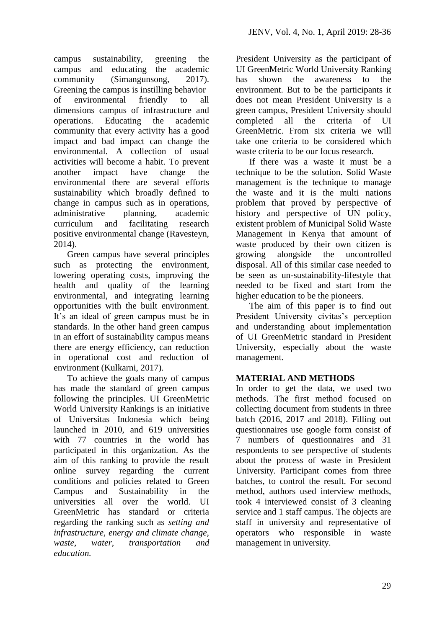campus sustainability, greening the campus and educating the academic community (Simangunsong, 2017). Greening the campus is instilling behavior of environmental friendly to all dimensions campus of infrastructure and operations. Educating the academic community that every activity has a good impact and bad impact can change the environmental. A collection of usual activities will become a habit. To prevent another impact have change the environmental there are several efforts sustainability which broadly defined to change in campus such as in operations, administrative planning, academic curriculum and facilitating research positive environmental change (Ravesteyn, 2014).

Green campus have several principles such as protecting the environment, lowering operating costs, improving the health and quality of the learning environmental, and integrating learning opportunities with the built environment. It's an ideal of green campus must be in standards. In the other hand green campus in an effort of sustainability campus means there are energy efficiency, can reduction in operational cost and reduction of environment (Kulkarni, 2017).

To achieve the goals many of campus has made the standard of green campus following the principles. UI GreenMetric World University Rankings is an initiative of Universitas Indonesia which being launched in 2010, and 619 universities with 77 countries in the world has participated in this organization. As the aim of this ranking to provide the result online survey regarding the current conditions and policies related to Green Campus and Sustainability in the universities all over the world. UI GreenMetric has standard or criteria regarding the ranking such as *setting and infrastructure, energy and climate change, waste, water, transportation and education.*

President University as the participant of UI GreenMetric World University Ranking has shown the awareness to the environment. But to be the participants it does not mean President University is a green campus, President University should completed all the criteria of UI GreenMetric. From six criteria we will take one criteria to be considered which waste criteria to be our focus research.

If there was a waste it must be a technique to be the solution. Solid Waste management is the technique to manage the waste and it is the multi nations problem that proved by perspective of history and perspective of UN policy, existent problem of Municipal Solid Waste Management in Kenya that amount of waste produced by their own citizen is growing alongside the uncontrolled disposal. All of this similar case needed to be seen as un-sustainability-lifestyle that needed to be fixed and start from the higher education to be the pioneers.

The aim of this paper is to find out President University civitas's perception and understanding about implementation of UI GreenMetric standard in President University, especially about the waste management.

# **MATERIAL AND METHODS**

In order to get the data, we used two methods. The first method focused on collecting document from students in three batch (2016, 2017 and 2018). Filling out questionnaires use google form consist of 7 numbers of questionnaires and 31 respondents to see perspective of students about the process of waste in President University. Participant comes from three batches, to control the result. For second method, authors used interview methods, took 4 interviewed consist of 3 cleaning service and 1 staff campus. The objects are staff in university and representative of operators who responsible in waste management in university.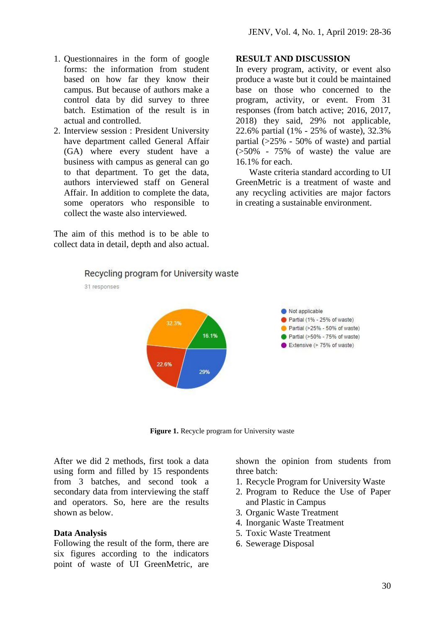- 1. Questionnaires in the form of google forms: the information from student based on how far they know their campus. But because of authors make a control data by did survey to three batch. Estimation of the result is in actual and controlled.
- 2. Interview session : President University have department called General Affair (GA) where every student have a business with campus as general can go to that department. To get the data, authors interviewed staff on General Affair. In addition to complete the data, some operators who responsible to collect the waste also interviewed.

The aim of this method is to be able to collect data in detail, depth and also actual.

#### **RESULT AND DISCUSSION**

In every program, activity, or event also produce a waste but it could be maintained base on those who concerned to the program, activity, or event. From 31 responses (from batch active; 2016, 2017, 2018) they said, 29% not applicable, 22.6% partial (1% - 25% of waste), 32.3% partial (>25% - 50% of waste) and partial  $(550\% - 75\% \text{ of waste})$  the value are 16.1% for each.

Waste criteria standard according to UI GreenMetric is a treatment of waste and any recycling activities are major factors in creating a sustainable environment.



31 responses



**Figure 1.** Recycle program for University waste

After we did 2 methods, first took a data using form and filled by 15 respondents from 3 batches, and second took a secondary data from interviewing the staff and operators. So, here are the results shown as below.

#### **Data Analysis**

Following the result of the form, there are six figures according to the indicators point of waste of UI GreenMetric, are

shown the opinion from students from three batch:

- 1. Recycle Program for University Waste
- 2. Program to Reduce the Use of Paper and Plastic in Campus
- 3. Organic Waste Treatment
- 4. Inorganic Waste Treatment
- 5. Toxic Waste Treatment
- 6. Sewerage Disposal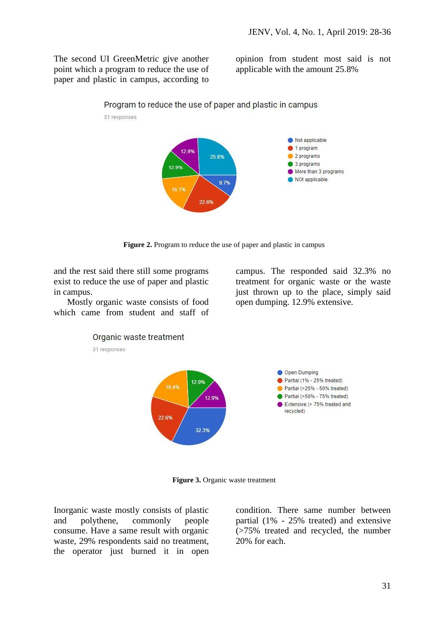The second UI GreenMetric give another point which a program to reduce the use of paper and plastic in campus, according to opinion from student most said is not applicable with the amount 25.8%



**Figure 2.** Program to reduce the use of paper and plastic in campus

and the rest said there still some programs exist to reduce the use of paper and plastic in campus.

Mostly organic waste consists of food which came from student and staff of

campus. The responded said 32.3% no treatment for organic waste or the waste just thrown up to the place, simply said open dumping. 12.9% extensive.



**Figure 3.** Organic waste treatment

Inorganic waste mostly consists of plastic and polythene, commonly people consume. Have a same result with organic waste, 29% respondents said no treatment, the operator just burned it in open

condition. There same number between partial (1% - 25% treated) and extensive (>75% treated and recycled, the number 20% for each.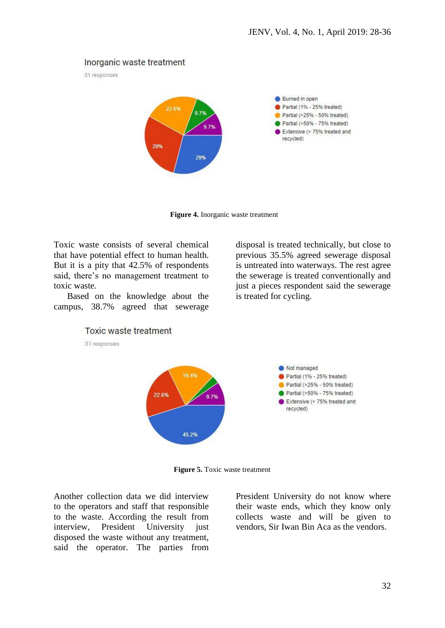## Inorganic waste treatment

31 responses



**Figure 4.** Inorganic waste treatment

Toxic waste consists of several chemical that have potential effect to human health. But it is a pity that 42.5% of respondents said, there's no management treatment to toxic waste.

Based on the knowledge about the campus, 38.7% agreed that sewerage

disposal is treated technically, but close to previous 35.5% agreed sewerage disposal is untreated into waterways. The rest agree the sewerage is treated conventionally and just a pieces respondent said the sewerage is treated for cycling.



**Figure 5.** Toxic waste treatment

Another collection data we did interview to the operators and staff that responsible to the waste. According the result from interview, President University just disposed the waste without any treatment, said the operator. The parties from

President University do not know where their waste ends, which they know only collects waste and will be given to vendors, Sir Iwan Bin Aca as the vendors.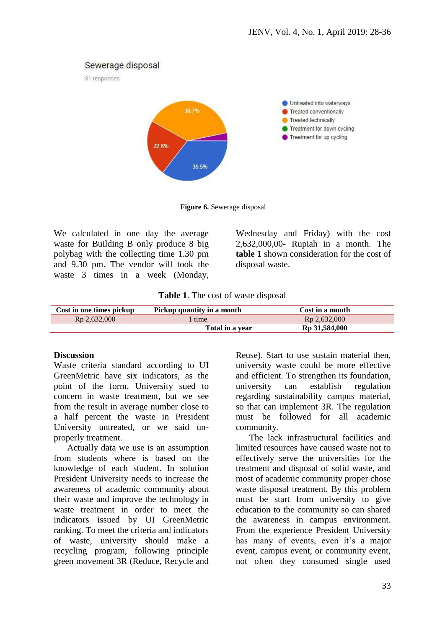### Sewerage disposal





**Figure 6.** Sewerage disposal

We calculated in one day the average waste for Building B only produce 8 big polybag with the collecting time 1.30 pm and 9.30 pm. The vendor will took the waste 3 times in a week (Monday, Wednesday and Friday) with the cost 2,632,000,00- Rupiah in a month. The **table 1** shown consideration for the cost of disposal waste.

|  |  |  |  | Table 1. The cost of waste disposal |
|--|--|--|--|-------------------------------------|
|--|--|--|--|-------------------------------------|

| Cost in one times pickup | Pickup quantity in a month | Cost in a month           |
|--------------------------|----------------------------|---------------------------|
| Rp 2,632,000             | time                       | Rp 2,632,000              |
|                          | Total in a year            | R <sub>p</sub> 31,584,000 |

#### **Discussion**

Waste criteria standard according to UI GreenMetric have six indicators, as the point of the form. University sued to concern in waste treatment, but we see from the result in average number close to a half percent the waste in President University untreated, or we said unproperly treatment.

Actually data we use is an assumption from students where is based on the knowledge of each student. In solution President University needs to increase the awareness of academic community about their waste and improve the technology in waste treatment in order to meet the indicators issued by UI GreenMetric ranking. To meet the criteria and indicators of waste, university should make a recycling program, following principle green movement 3R (Reduce, Recycle and Reuse). Start to use sustain material then, university waste could be more effective and efficient. To strengthen its foundation, university can establish regulation regarding sustainability campus material, so that can implement 3R. The regulation must be followed for all academic community.

The lack infrastructural facilities and limited resources have caused waste not to effectively serve the universities for the treatment and disposal of solid waste, and most of academic community proper chose waste disposal treatment. By this problem must be start from university to give education to the community so can shared the awareness in campus environment. From the experience President University has many of events, even it's a major event, campus event, or community event, not often they consumed single used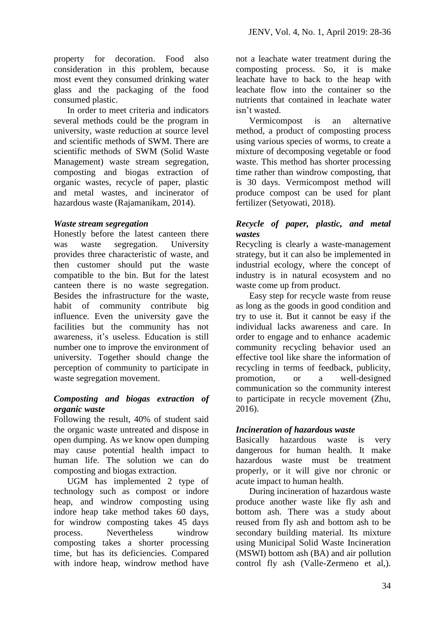property for decoration. Food also consideration in this problem, because most event they consumed drinking water glass and the packaging of the food consumed plastic.

In order to meet criteria and indicators several methods could be the program in university, waste reduction at source level and scientific methods of SWM. There are scientific methods of SWM (Solid Waste Management) waste stream segregation, composting and biogas extraction of organic wastes, recycle of paper, plastic and metal wastes, and incinerator of hazardous waste (Rajamanikam, 2014).

## *Waste stream segregation*

Honestly before the latest canteen there was waste segregation. University provides three characteristic of waste, and then customer should put the waste compatible to the bin. But for the latest canteen there is no waste segregation. Besides the infrastructure for the waste, habit of community contribute big influence. Even the university gave the facilities but the community has not awareness, it's useless. Education is still number one to improve the environment of university. Together should change the perception of community to participate in waste segregation movement.

## *Composting and biogas extraction of organic waste*

Following the result, 40% of student said the organic waste untreated and dispose in open dumping. As we know open dumping may cause potential health impact to human life. The solution we can do composting and biogas extraction.

UGM has implemented 2 type of technology such as compost or indore heap, and windrow composting using indore heap take method takes 60 days, for windrow composting takes 45 days process. Nevertheless windrow composting takes a shorter processing time, but has its deficiencies. Compared with indore heap, windrow method have

not a leachate water treatment during the composting process. So, it is make leachate have to back to the heap with leachate flow into the container so the nutrients that contained in leachate water isn't wasted.

Vermicompost is an alternative method, a product of composting process using various species of worms, to create a mixture of decomposing vegetable or food waste. This method has shorter processing time rather than windrow composting, that is 30 days. Vermicompost method will produce compost can be used for plant fertilizer (Setyowati, 2018).

## *Recycle of paper, plastic, and metal wastes*

Recycling is clearly a waste-management strategy, but it can also be implemented in industrial ecology, where the concept of industry is in natural ecosystem and no waste come up from product.

Easy step for recycle waste from reuse as long as the goods in good condition and try to use it. But it cannot be easy if the individual lacks awareness and care. In order to engage and to enhance academic community recycling behavior used an effective tool like share the information of recycling in terms of feedback, publicity, promotion, or a well-designed communication so the community interest to participate in recycle movement (Zhu, 2016).

## *Incineration of hazardous waste*

Basically hazardous waste is very dangerous for human health. It make hazardous waste must be treatment properly, or it will give nor chronic or acute impact to human health.

During incineration of hazardous waste produce another waste like fly ash and bottom ash. There was a study about reused from fly ash and bottom ash to be secondary building material. Its mixture using Municipal Solid Waste Incineration (MSWI) bottom ash (BA) and air pollution control fly ash (Valle-Zermeno et al,).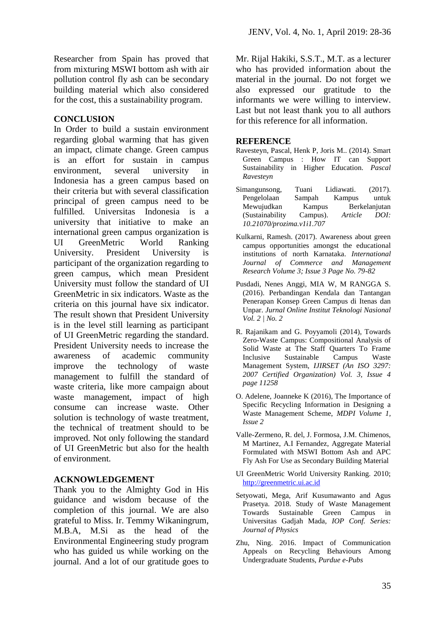Researcher from Spain has proved that from mixturing MSWI bottom ash with air pollution control fly ash can be secondary building material which also considered for the cost, this a sustainability program.

### **CONCLUSION**

In Order to build a sustain environment regarding global warming that has given an impact, climate change. Green campus is an effort for sustain in campus environment, several university in Indonesia has a green campus based on their criteria but with several classification principal of green campus need to be fulfilled. Universitas Indonesia is a university that initiative to make an international green campus organization is UI GreenMetric World Ranking University. President University is participant of the organization regarding to green campus, which mean President University must follow the standard of UI GreenMetric in six indicators. Waste as the criteria on this journal have six indicator. The result shown that President University is in the level still learning as participant of UI GreenMetric regarding the standard. President University needs to increase the awareness of academic community improve the technology of waste management to fulfill the standard of waste criteria, like more campaign about waste management, impact of high consume can increase waste. Other solution is technology of waste treatment, the technical of treatment should to be improved. Not only following the standard of UI GreenMetric but also for the health of environment.

## **ACKNOWLEDGEMENT**

Thank you to the Almighty God in His guidance and wisdom because of the completion of this journal. We are also grateful to Miss. Ir. Temmy Wikaningrum, M.B.A, M.Si as the head of the Environmental Engineering study program who has guided us while working on the journal. And a lot of our gratitude goes to

Mr. Rijal Hakiki, S.S.T., M.T. as a lecturer who has provided information about the material in the journal. Do not forget we also expressed our gratitude to the informants we were willing to interview. Last but not least thank you to all authors for this reference for all information.

#### **REFERENCE**

- Ravesteyn, Pascal, Henk P, Joris M.. (2014). Smart Green Campus : How IT can Support Sustainability in Higher Education. *Pascal Ravesteyn*
- Simangunsong, Tuani Lidiawati. (2017). Pengelolaan Sampah Kampus untuk Mewujudkan Kampus Berkelanjutan (Sustainability Campus). *Article DOI: 10.21070/prozima.v1i1.707*
- Kulkarni, Ramesh. (2017). Awareness about green campus opportunities amongst the educational institutions of north Karnataka. *International Journal of Commerce and Management Research Volume 3; Issue 3 Page No. 79-82*
- Pusdadi, Nenes Anggi, MIA W, M RANGGA S. (2016). Perbandingan Kendala dan Tantangan Penerapan Konsep Green Campus di Itenas dan Unpar. *Jurnal Online Institut Teknologi Nasional Vol. 2 | No. 2*
- R. Rajanikam and G. Poyyamoli (2014), Towards Zero-Waste Campus: Compositional Analysis of Solid Waste at The Staff Quarters To Frame Inclusive Sustainable Campus Waste Management System, *IJIRSET (An ISO 3297: 2007 Certified Organization) Vol. 3, Issue 4 page 11258*
- O. Adelene, Joanneke K (2016), The Importance of Specific Recycling Information in Designing a Waste Management Scheme, *MDPI Volume 1, Issue 2*
- Valle-Zermeno, R. del, J. Formosa, J.M. Chimenos, M Martinez, A.I Fernandez, Aggregate Material Formulated with MSWI Bottom Ash and APC Fly Ash For Use as Secondary Building Material
- UI GreenMetric World University Ranking. 2010; [http://greenmetric.ui.ac.id](http://greenmetric.ui.ac.id/)
- Setyowati, Mega, Arif Kusumawanto and Agus Prasetya. 2018. Study of Waste Management Towards Sustainable Green Campus in Universitas Gadjah Mada, *IOP Conf. Series: Journal of Physics*
- Zhu, Ning. 2016. Impact of Communication Appeals on Recycling Behaviours Among Undergraduate Students, *Purdue e-Pubs*